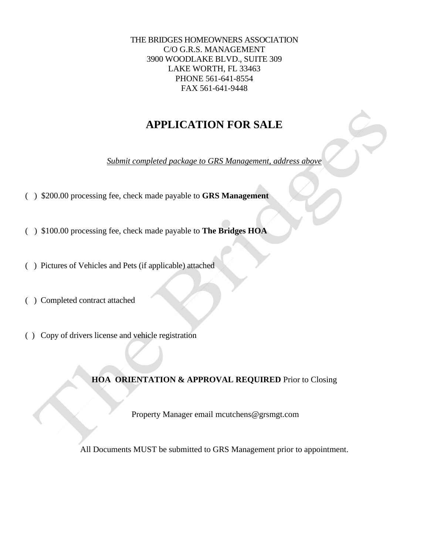THE BRIDGES HOMEOWNERS ASSOCIATION C/O G.R.S. MANAGEMENT 3900 WOODLAKE BLVD., SUITE 309 LAKE WORTH, FL 33463 PHONE 561-641-8554 FAX 561-641-9448

# **APPLICATION FOR SALE**

*Submit completed package to GRS Management, address above*

- ( ) \$200.00 processing fee, check made payable to **GRS Management**
- ( ) \$100.00 processing fee, check made payable to **The Bridges HOA**
- ( ) Pictures of Vehicles and Pets (if applicable) attached
- ( ) Completed contract attached
- ( ) Copy of drivers license and vehicle registration

**HOA ORIENTATION & APPROVAL REQUIRED** Prior to Closing

Property Manager email mcutchens@grsmgt.com

All Documents MUST be submitted to GRS Management prior to appointment.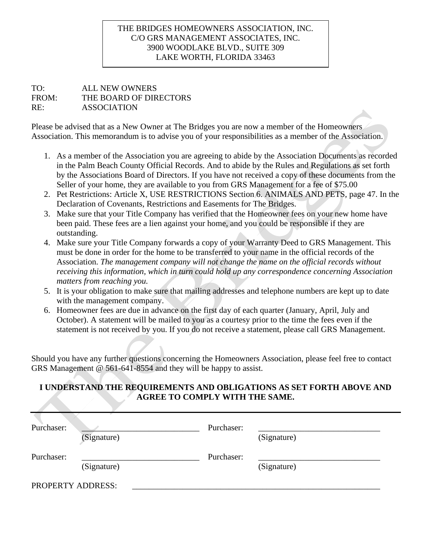### THE BRIDGES HOMEOWNERS ASSOCIATION, INC. C/O GRS MANAGEMENT ASSOCIATES, INC. 3900 WOODLAKE BLVD., SUITE 309 LAKE WORTH, FLORIDA 33463

#### TO: ALL NEW OWNERS FROM: THE BOARD OF DIRECTORS RE: ASSOCIATION

Please be advised that as a New Owner at The Bridges you are now a member of the Homeowners Association. This memorandum is to advise you of your responsibilities as a member of the Association.

- 1. As a member of the Association you are agreeing to abide by the Association Documents as recorded in the Palm Beach County Official Records. And to abide by the Rules and Regulations as set forth by the Associations Board of Directors. If you have not received a copy of these documents from the Seller of your home, they are available to you from GRS Management for a fee of \$75.00
- 2. Pet Restrictions: Article X, USE RESTRICTIONS Section 6. ANIMALS AND PETS, page 47. In the Declaration of Covenants, Restrictions and Easements for The Bridges.
- 3. Make sure that your Title Company has verified that the Homeowner fees on your new home have been paid. These fees are a lien against your home, and you could be responsible if they are outstanding.
- 4. Make sure your Title Company forwards a copy of your Warranty Deed to GRS Management. This must be done in order for the home to be transferred to your name in the official records of the Association. *The management company will not change the name on the official records without receiving this information, which in turn could hold up any correspondence concerning Association matters from reaching you.*
- 5. It is your obligation to make sure that mailing addresses and telephone numbers are kept up to date with the management company.
- 6. Homeowner fees are due in advance on the first day of each quarter (January, April, July and October). A statement will be mailed to you as a courtesy prior to the time the fees even if the statement is not received by you. If you do not receive a statement, please call GRS Management.

Should you have any further questions concerning the Homeowners Association, please feel free to contact GRS Management @ 561-641-8554 and they will be happy to assist.

### **I UNDERSTAND THE REQUIREMENTS AND OBLIGATIONS AS SET FORTH ABOVE AND AGREE TO COMPLY WITH THE SAME.**

| Purchaser:        | (Signature) | Purchaser: | (Signature) |
|-------------------|-------------|------------|-------------|
| Purchaser:        | (Signature) | Purchaser: | (Signature) |
| PROPERTY ADDRESS: |             |            |             |